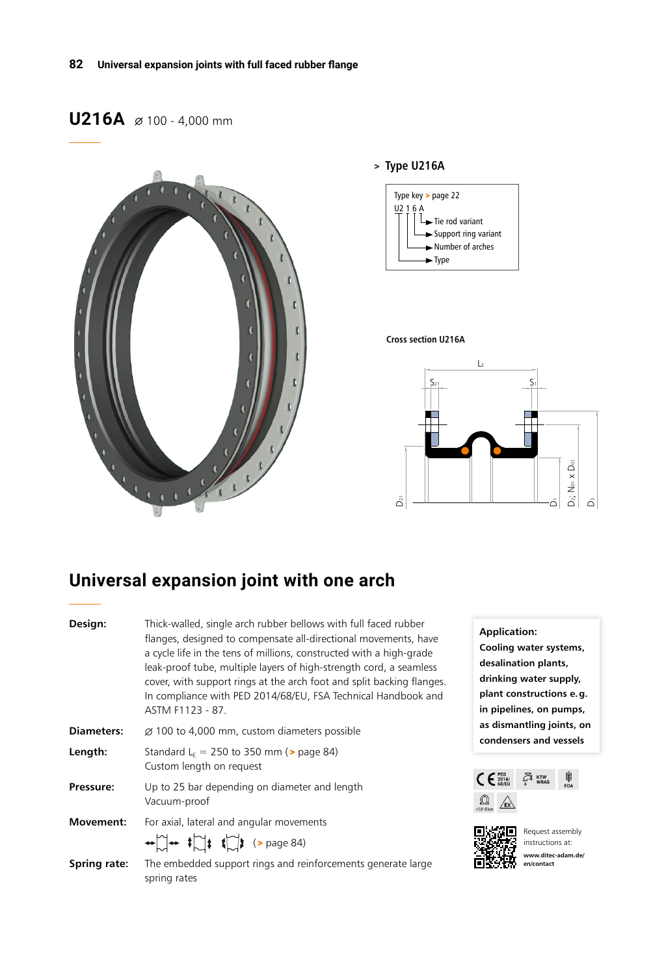## **U216A**  $\varnothing$  100 - 4,000 mm



### > **Type U216A**



#### **Cross section U216A**



# **Universal expansion joint with one arch**

| Design:             | Thick-walled, single arch rubber bellows with full faced rubber<br>flanges, designed to compensate all-directional movements, have<br>a cycle life in the tens of millions, constructed with a high-grade<br>leak-proof tube, multiple layers of high-strength cord, a seamless<br>cover, with support rings at the arch foot and split backing flanges.<br>In compliance with PED 2014/68/EU, FSA Technical Handbook and<br>ASTM F1123 - 87. |  |  |  |  |  |  |  |
|---------------------|-----------------------------------------------------------------------------------------------------------------------------------------------------------------------------------------------------------------------------------------------------------------------------------------------------------------------------------------------------------------------------------------------------------------------------------------------|--|--|--|--|--|--|--|
| Diameters:          | $\varnothing$ 100 to 4,000 mm, custom diameters possible                                                                                                                                                                                                                                                                                                                                                                                      |  |  |  |  |  |  |  |
| Length:             | Standard $L_E$ = 250 to 350 mm ( $\ge$ page 84)<br>Custom length on request                                                                                                                                                                                                                                                                                                                                                                   |  |  |  |  |  |  |  |
| Pressure:           | Up to 25 bar depending on diameter and length<br>Vacuum-proof                                                                                                                                                                                                                                                                                                                                                                                 |  |  |  |  |  |  |  |
| Movement:           | For axial, lateral and angular movements<br>$\leftrightarrow$ $\rightarrow$ $\leftrightarrow$ $\uparrow$ $\downarrow$ $\uparrow$ $\downarrow$ $\downarrow$ (> page 84)                                                                                                                                                                                                                                                                        |  |  |  |  |  |  |  |
| <b>Spring rate:</b> | The embedded support rings and reinforcements generate large<br>spring rates                                                                                                                                                                                                                                                                                                                                                                  |  |  |  |  |  |  |  |

**Application: Cooling water systems, desalination plants, drinking water supply, plant constructions e.g. in pipelines, on pumps, as dismantling joints, on condensers and vessels**





Request assembly instructions at: **www.ditec-adam.de/ en/contact**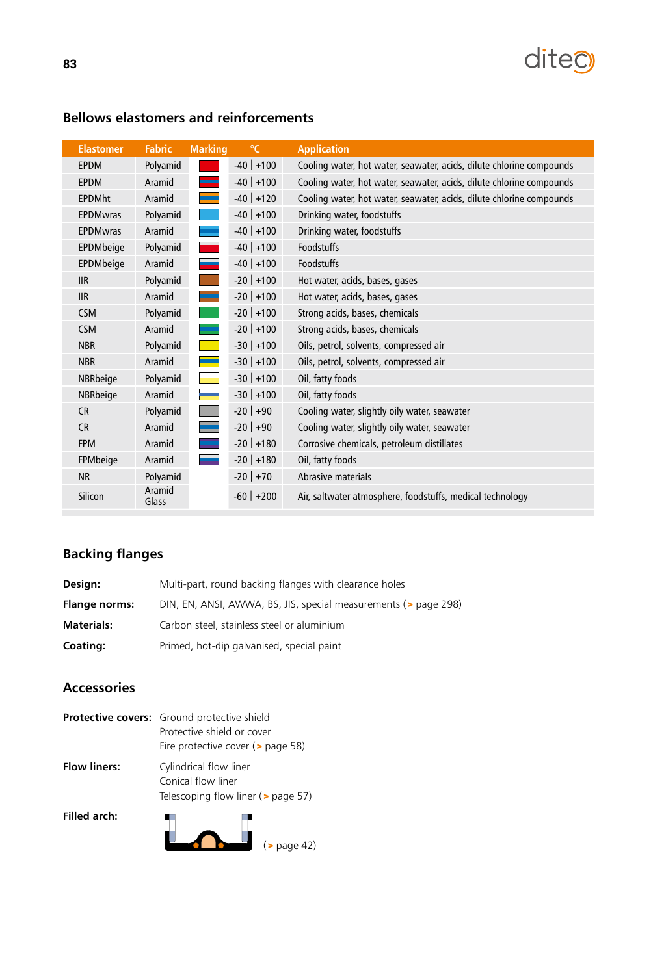

| <b>Elastomer</b> | <b>Fabric</b>   | <b>Marking</b>                                                                                                        | $\mathrm{C}$ | <b>Application</b>                                                   |
|------------------|-----------------|-----------------------------------------------------------------------------------------------------------------------|--------------|----------------------------------------------------------------------|
| <b>EPDM</b>      | Polyamid        |                                                                                                                       | $-40$ +100   | Cooling water, hot water, seawater, acids, dilute chlorine compounds |
| <b>EPDM</b>      | Aramid          |                                                                                                                       | $-40$ +100   | Cooling water, hot water, seawater, acids, dilute chlorine compounds |
| <b>EPDMht</b>    | Aramid          |                                                                                                                       | $-40$ +120   | Cooling water, hot water, seawater, acids, dilute chlorine compounds |
| <b>EPDMwras</b>  | Polyamid        |                                                                                                                       | $-40$ +100   | Drinking water, foodstuffs                                           |
| <b>EPDMwras</b>  | Aramid          |                                                                                                                       | $-40$ +100   | Drinking water, foodstuffs                                           |
| EPDMbeige        | Polyamid        |                                                                                                                       | $-40$ +100   | <b>Foodstuffs</b>                                                    |
| EPDMbeige        | Aramid          |                                                                                                                       | $-40$ +100   | Foodstuffs                                                           |
| <b>IIR</b>       | Polyamid        |                                                                                                                       | $-20$ +100   | Hot water, acids, bases, gases                                       |
| <b>IIR</b>       | Aramid          |                                                                                                                       | $-20$ +100   | Hot water, acids, bases, gases                                       |
| <b>CSM</b>       | Polyamid        |                                                                                                                       | $-20$ +100   | Strong acids, bases, chemicals                                       |
| <b>CSM</b>       | Aramid          |                                                                                                                       | $-20$ +100   | Strong acids, bases, chemicals                                       |
| <b>NBR</b>       | Polyamid        | <b>Contract Contract Contract Contract Contract Contract Contract Contract Contract Contract Contract Contract Co</b> | $-30$ +100   | Oils, petrol, solvents, compressed air                               |
| <b>NBR</b>       | Aramid          |                                                                                                                       | $-30$ +100   | Oils, petrol, solvents, compressed air                               |
| NBRbeige         | Polyamid        |                                                                                                                       | $-30$ +100   | Oil, fatty foods                                                     |
| NBRbeige         | Aramid          |                                                                                                                       | $-30$ +100   | Oil, fatty foods                                                     |
| <b>CR</b>        | Polyamid        |                                                                                                                       | $-20$ +90    | Cooling water, slightly oily water, seawater                         |
| <b>CR</b>        | Aramid          |                                                                                                                       | $-20$ +90    | Cooling water, slightly oily water, seawater                         |
| <b>FPM</b>       | Aramid          |                                                                                                                       | $-20$ +180   | Corrosive chemicals, petroleum distillates                           |
| FPMbeige         | Aramid          |                                                                                                                       | $-20$ +180   | Oil, fatty foods                                                     |
| <b>NR</b>        | Polyamid        |                                                                                                                       | $-20$ +70    | Abrasive materials                                                   |
| Silicon          | Aramid<br>Glass |                                                                                                                       | $-60$ +200   | Air, saltwater atmosphere, foodstuffs, medical technology            |

## **Bellows elastomers and reinforcements**

## **Backing flanges**

| Design:              | Multi-part, round backing flanges with clearance holes          |
|----------------------|-----------------------------------------------------------------|
| <b>Flange norms:</b> | DIN, EN, ANSI, AWWA, BS, JIS, special measurements (> page 298) |
| <b>Materials:</b>    | Carbon steel, stainless steel or aluminium                      |
| <b>Coating:</b>      | Primed, hot-dip galvanised, special paint                       |

### **Accessories**

|                     | <b>Protective covers:</b> Ground protective shield<br>Protective shield or cover<br>Fire protective cover ( $>$ page 58) |  |  |  |  |  |  |
|---------------------|--------------------------------------------------------------------------------------------------------------------------|--|--|--|--|--|--|
| <b>Flow liners:</b> | Cylindrical flow liner<br>Conical flow liner<br>Telescoping flow liner ( $\geq$ page 57)                                 |  |  |  |  |  |  |
| Filled arch:        | $($ page 42)                                                                                                             |  |  |  |  |  |  |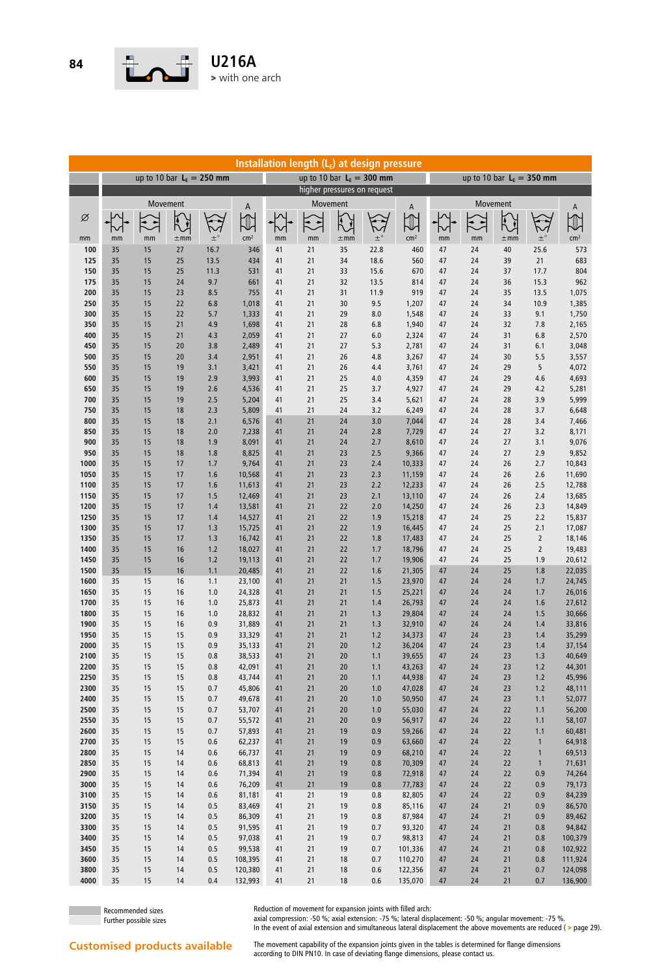

| Installation length (LE) at design pressure |               |                      |          |                            |                  |          |          |          |                             |                  |                             |          |          |                |                  |
|---------------------------------------------|---------------|----------------------|----------|----------------------------|------------------|----------|----------|----------|-----------------------------|------------------|-----------------------------|----------|----------|----------------|------------------|
|                                             |               |                      |          | up to 10 bar $LE = 250$ mm |                  |          |          |          | up to 10 bar $L_F = 300$ mm |                  | up to 10 bar $L_F = 350$ mm |          |          |                |                  |
|                                             |               |                      |          |                            |                  |          |          |          | higher pressures on request |                  |                             |          |          |                |                  |
|                                             | Movement<br>A |                      |          |                            |                  |          |          | Movement |                             | A                |                             |          | Movement |                | Α                |
| Ø                                           |               | $\ddot{\phantom{1}}$ |          |                            | $\mathbb U$      |          | こ        |          |                             |                  |                             |          | Į        |                | U                |
|                                             |               |                      |          |                            |                  |          |          |          |                             |                  |                             |          |          |                |                  |
| mm                                          | mm            | mm                   | $\pm$ mm | $\pm^{\circ}$              | cm <sup>2</sup>  | mm       | mm       | $\pm$ mm | $\pm^{\circ}$               | cm <sup>2</sup>  | mm                          | mm       | $\pm$ mm | $\pm^{\circ}$  | cm <sup>2</sup>  |
| 100<br>125                                  | 35<br>35      | 15<br>15             | 27<br>25 | 16.7<br>13.5               | 346<br>434       | 41<br>41 | 21<br>21 | 35<br>34 | 22.8<br>18.6                | 460<br>560       | 47<br>47                    | 24<br>24 | 40<br>39 | 25.6<br>21     | 573<br>683       |
| 150                                         | 35            | 15                   | 25       | 11.3                       | 531              | 41       | 21       | 33       | 15.6                        | 670              | 47                          | 24       | 37       | 17.7           | 804              |
| 175                                         | 35            | 15                   | 24       | 9.7                        | 661              | 41       | 21       | 32       | 13.5                        | 814              | 47                          | 24       | 36       | 15.3           | 962              |
| 200                                         | 35            | 15                   | 23       | 8.5                        | 755              | 41       | 21       | 31       | 11.9                        | 919              | 47                          | 24       | 35       | 13.5           | 1,075            |
| 250                                         | 35            | 15                   | 22       | 6.8                        | 1,018            | 41       | 21       | 30       | 9.5                         | 1,207            | 47                          | 24       | 34       | 10.9           | 1,385            |
| 300<br>350                                  | 35<br>35      | 15<br>15             | 22<br>21 | 5.7<br>4.9                 | 1,333<br>1,698   | 41<br>41 | 21<br>21 | 29<br>28 | 8.0<br>6.8                  | 1,548<br>1,940   | 47<br>47                    | 24<br>24 | 33<br>32 | 9.1<br>7.8     | 1,750<br>2,165   |
| 400                                         | 35            | 15                   | 21       | 4.3                        | 2,059            | 41       | 21       | 27       | 6.0                         | 2,324            | 47                          | 24       | 31       | 6.8            | 2,570            |
| 450                                         | 35            | 15                   | 20       | 3.8                        | 2,489            | 41       | 21       | 27       | 5.3                         | 2,781            | 47                          | 24       | 31       | 6.1            | 3,048            |
| 500                                         | 35            | 15                   | 20       | 3.4                        | 2,951            | 41       | 21       | 26       | 4.8                         | 3,267            | 47                          | 24       | 30       | 5.5            | 3,557            |
| 550                                         | 35            | 15                   | 19       | 3.1                        | 3,421            | 41       | 21       | 26       | 4.4                         | 3,761            | 47                          | 24       | 29       | 5              | 4,072            |
| 600                                         | 35            | 15                   | 19       | 2.9                        | 3,993            | 41       | 21       | 25       | 4.0                         | 4,359            | 47                          | 24       | 29       | 4.6            | 4,693            |
| 650                                         | 35            | 15                   | 19       | 2.6                        | 4,536            | 41       | 21       | 25       | 3.7                         | 4,927            | 47                          | 24       | 29       | 4.2            | 5,281            |
| 700<br>750                                  | 35<br>35      | 15<br>15             | 19<br>18 | 2.5<br>2.3                 | 5,204<br>5,809   | 41<br>41 | 21<br>21 | 25<br>24 | 3.4<br>3.2                  | 5,621<br>6,249   | 47<br>47                    | 24<br>24 | 28<br>28 | 3.9<br>3.7     | 5,999<br>6,648   |
| 800                                         | 35            | 15                   | 18       | 2.1                        | 6,576            | 41       | 21       | 24       | 3.0                         | 7,044            | 47                          | 24       | 28       | 3.4            | 7,466            |
| 850                                         | 35            | 15                   | 18       | 2.0                        | 7,238            | 41       | 21       | 24       | 2.8                         | 7,729            | 47                          | 24       | 27       | 3.2            | 8,171            |
| 900                                         | 35            | 15                   | 18       | 1.9                        | 8,091            | 41       | 21       | 24       | 2.7                         | 8,610            | 47                          | 24       | 27       | 3.1            | 9,076            |
| 950                                         | 35            | 15                   | 18       | 1.8                        | 8,825            | 41       | 21       | 23       | 2.5                         | 9,366            | 47                          | 24       | 27       | 2.9            | 9,852            |
| 1000                                        | 35            | 15                   | 17       | 1.7                        | 9,764            | 41       | 21       | 23       | 2.4                         | 10,333           | 47                          | 24       | 26       | 2.7            | 10,843           |
| 1050                                        | 35            | 15<br>15             | 17<br>17 | 1.6                        | 10,568<br>11,613 | 41       | 21<br>21 | 23       | 2.3<br>2.2                  | 11,159           | 47<br>47                    | 24       | 26<br>26 | 2.6<br>2.5     | 11,690           |
| 1100<br>1150                                | 35<br>35      | 15                   | 17       | 1.6<br>1.5                 | 12,469           | 41<br>41 | 21       | 23<br>23 | 2.1                         | 12,233<br>13,110 | 47                          | 24<br>24 | 26       | 2.4            | 12,788<br>13,685 |
| 1200                                        | 35            | 15                   | 17       | 1.4                        | 13,581           | 41       | 21       | 22       | 2.0                         | 14,250           | 47                          | 24       | 26       | 2.3            | 14,849           |
| 1250                                        | 35            | 15                   | 17       | 1.4                        | 14,527           | 41       | 21       | 22       | 1.9                         | 15,218           | 47                          | 24       | 25       | 2.2            | 15,837           |
| 1300                                        | 35            | 15                   | 17       | 1.3                        | 15,725           | 41       | 21       | 22       | 1.9                         | 16,445           | 47                          | 24       | 25       | 2.1            | 17,087           |
| 1350                                        | 35            | 15                   | 17       | 1.3                        | 16,742           | 41       | 21       | 22       | 1.8                         | 17,483           | 47                          | 24       | 25       | $\overline{2}$ | 18,146           |
| 1400                                        | 35            | 15                   | 16       | 1.2                        | 18,027           | 41       | 21       | 22       | 1.7                         | 18,796           | 47                          | 24       | 25       | $\overline{2}$ | 19,483           |
| 1450<br>1500                                | 35<br>35      | 15<br>15             | 16<br>16 | 1.2<br>1.1                 | 19,113<br>20,485 | 41<br>41 | 21<br>21 | 22<br>22 | 1.7<br>1.6                  | 19,906<br>21,305 | 47<br>47                    | 24<br>24 | 25<br>25 | 1.9<br>1.8     | 20,612<br>22,035 |
| 1600                                        | 35            | 15                   | 16       | 1.1                        | 23,100           | 41       | 21       | 21       | 1.5                         | 23,970           | 47                          | 24       | 24       | 1.7            | 24,745           |
| 1650                                        | 35            | 15                   | 16       | 1.0                        | 24,328           | 41       | 21       | 21       | 1.5                         | 25,221           | 47                          | 24       | 24       | 1.7            | 26,016           |
| 1700                                        | 35            | 15                   | 16       | 1.0                        | 25,873           | 41       | 21       | 21       | 1.4                         | 26,793           | 47                          | 24       | 24       | 1.6            | 27,612           |
| 1800                                        | 35            | 15                   | 16       | 1.0                        | 28,832           | 41       | 21       | 21       | 1.3                         | 29,804           | 47                          | 24       | 24       | 1.5            | 30,666           |
| 1900                                        | 35            | 15                   | 16       | 0.9                        | 31,889           | 41       | 21       | 21       | 1.3                         | 32,910           | 47                          | 24       | 24       | 1.4            | 33,816           |
| 1950<br>2000                                | 35<br>35      | 15<br>15             | 15<br>15 | 0.9<br>0.9                 | 33,329<br>35,133 | 41<br>41 | 21<br>21 | 21<br>20 | 1.2<br>1.2                  | 34,373<br>36,204 | 47<br>47                    | 24<br>24 | 23<br>23 | 1.4<br>1.4     | 35,299<br>37,154 |
| 2100                                        | 35            | 15                   | 15       | 0.8                        | 38,533           | 41       | 21       | $20\,$   | $1.1$                       | 39,655           | 47                          | 24       | 23       | $1.3$          | 40,649           |
| 2200                                        | 35            | 15                   | 15       | 0.8                        | 42,091           | 41       | 21       | 20       | 1.1                         | 43,263           | 47                          | 24       | 23       | 1.2            | 44,301           |
| 2250                                        | 35            | 15                   | 15       | 0.8                        | 43,744           | 41       | 21       | 20       | 1.1                         | 44,938           | 47                          | 24       | 23       | $1.2$          | 45,996           |
| 2300                                        | 35            | 15                   | 15       | 0.7                        | 45,806           | 41       | 21       | 20       | 1.0                         | 47,028           | 47                          | 24       | 23       | 1.2            | 48,111           |
| 2400                                        | 35            | 15                   | 15       | 0.7                        | 49,678           | 41       | 21       | 20       | 1.0                         | 50,950           | 47                          | 24       | 23       | 1.1            | 52,077           |
| 2500<br>2550                                | 35<br>35      | 15<br>15             | 15<br>15 | 0.7<br>0.7                 | 53,707<br>55,572 | 41<br>41 | 21<br>21 | 20<br>20 | 1.0<br>0.9                  | 55,030<br>56,917 | 47<br>47                    | 24       | 22<br>22 | 1.1<br>1.1     | 56,200<br>58,107 |
| 2600                                        | 35            | 15                   | 15       | 0.7                        | 57,893           | 41       | 21       | 19       | 0.9                         | 59,266           | 47                          | 24<br>24 | 22       | 1.1            | 60,481           |
| 2700                                        | 35            | 15                   | 15       | 0.6                        | 62,237           | 41       | $21$     | 19       | 0.9                         | 63,660           | 47                          | 24       | 22       | $\mathbf{1}$   | 64,918           |
| 2800                                        | 35            | 15                   | 14       | 0.6                        | 66,737           | 41       | 21       | 19       | 0.9                         | 68,210           | 47                          | 24       | 22       | $\mathbf{1}$   | 69,513           |
| 2850                                        | 35            | 15                   | 14       | 0.6                        | 68,813           | 41       | 21       | 19       | 0.8                         | 70,309           | 47                          | 24       | 22       | $\mathbf{1}$   | 71,631           |
| 2900                                        | 35            | 15                   | 14       | 0.6                        | 71,394           | 41       | $21$     | 19       | 0.8                         | 72,918           | 47                          | 24       | 22       | 0.9            | 74,264           |
| 3000                                        | 35            | 15                   | 14       | 0.6                        | 76,209           | 41       | $21$     | 19       | 0.8                         | 77,783           | 47                          | 24       | 22       | 0.9            | 79,173           |
| 3100<br>3150                                | 35<br>35      | 15<br>15             | 14<br>14 | 0.6<br>0.5                 | 81,181<br>83,469 | 41<br>41 | 21<br>21 | 19<br>19 | 0.8<br>0.8                  | 82,805<br>85,116 | 47<br>47                    | 24<br>24 | 22<br>21 | 0.9<br>0.9     | 84,239<br>86,570 |
| 3200                                        | 35            | 15                   | 14       | 0.5                        | 86,309           | 41       | 21       | 19       | 0.8                         | 87,984           | 47                          | 24       | $21$     | 0.9            | 89,462           |
| 3300                                        | 35            | 15                   | 14       | 0.5                        | 91,595           | 41       | 21       | 19       | 0.7                         | 93,320           | 47                          | 24       | $21$     | 0.8            | 94,842           |
| 3400                                        | 35            | 15                   | 14       | 0.5                        | 97,038           | 41       | 21       | 19       | 0.7                         | 98,813           | 47                          | 24       | $21$     | 0.8            | 100,379          |
| 3450                                        | 35            | 15                   | 14       | 0.5                        | 99,538           | 41       | 21       | 19       | 0.7                         | 101,336          | 47                          | 24       | $21$     | 0.8            | 102,922          |
| 3600                                        | 35            | 15                   | 14       | 0.5                        | 108,395          | 41       | 21       | 18       | 0.7                         | 110,270          | 47                          | 24       | 21       | 0.8            | 111,924          |
| 3800                                        | 35            | 15                   | 14       | 0.5                        | 120,380          | 41       | 21       | 18       | 0.6                         | 122,356          | 47                          | 24       | $21$     | 0.7            | 124,098          |
| 4000                                        | 35            | 15                   | 14       | 0.4                        | 132,993          | 41       | $21$     | 18       | 0.6                         | 135,070          | 47                          | 24       | $21$     | $0.7\,$        | 136,900          |

Reduction of movement for expansion joints with filled arch:

Recommended sizes Further possible sizes

axial compression: -50 %; axial extension: -75 %; lateral displacement: -50 %; angular movement: -75 %. In the event of axial extension and simultaneous lateral displacement the above movements are reduced ( > page 29).

The movement capability of the expansion joints given in the tables is determined for flange dimensions according to DIN PN10. In case of deviating flange dimensions, please contact us.